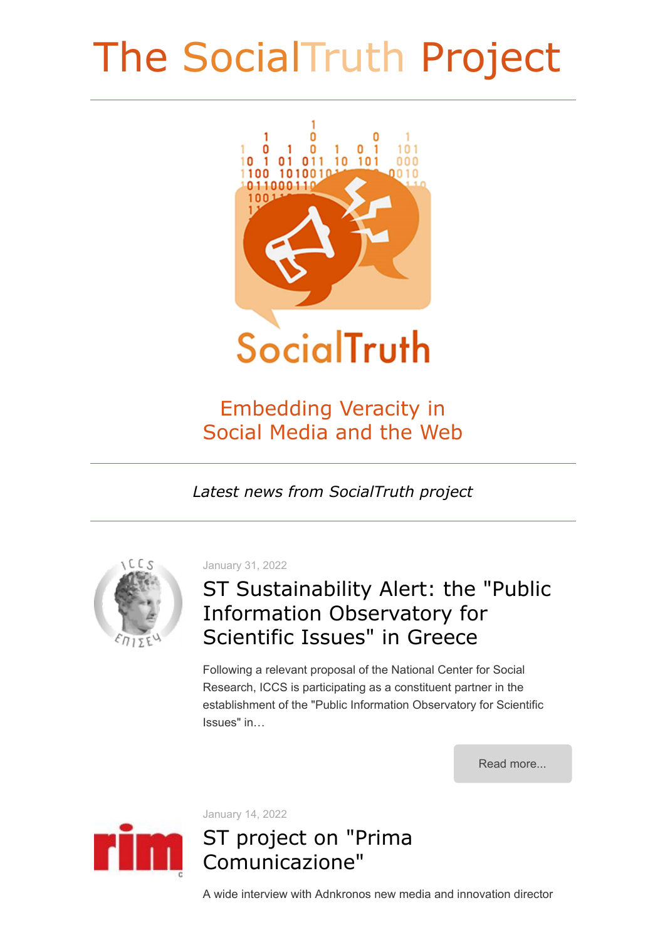# The SocialTruth Project



## Embedding Veracity in Social Media and the Web

*Latest news from SocialTruth project*



January 31, 2022

## ST Sustainability Alert: the "Public Information Observatory for Scientific Issues" in Greece

Following a relevant proposal of the National Center for Social Research, ICCS is participating as a constituent partner in the establishment of the "Public Information Observatory for Scientific Issues" in…

[Read more...](http://www.socialtruth.eu/index.php/2022/01/31/st-sustainability-alert-the-public-information-observatory-for-scientific-issues-in-greece/)



January 14, 2022

### ST project on "Prima Comunicazione"

A wide interview with Adnkronos new media and innovation director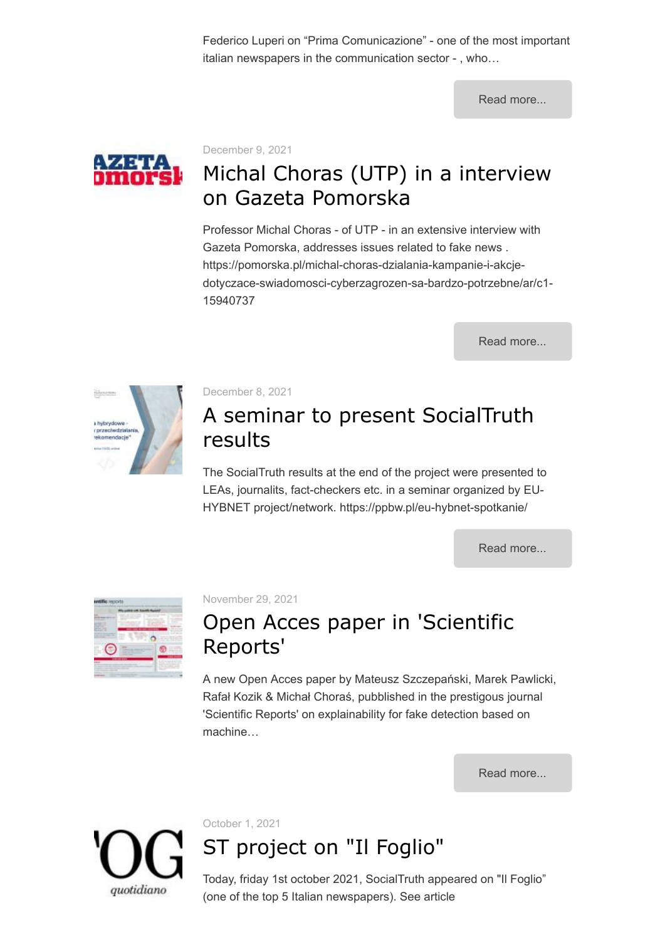Federico Luperi on "Prima Comunicazione" - one of the most important italian newspapers in the communication sector - , who…

[Read more...](http://www.socialtruth.eu/index.php/2022/01/14/st-project-on-prima-comunicazione/)



December 9, 2021

# Michal Choras (UTP) in a interview on Gazeta Pomorska

Professor Michal Choras - of UTP - in an extensive interview with Gazeta Pomorska, addresses issues related to fake news . https://pomorska.pl/michal-choras-dzialania-kampanie-i-akcjedotyczace-swiadomosci-cyberzagrozen-sa-bardzo-potrzebne/ar/c1- 15940737

[Read more...](http://www.socialtruth.eu/index.php/2021/12/09/michal-choras-utp-in-a-large-interview-on-gazeta-pomorska/)



December 8, 2021

### A seminar to present SocialTruth results

The SocialTruth results at the end of the project were presented to LEAs, journalits, fact-checkers etc. in a seminar organized by EU-HYBNET project/network. https://ppbw.pl/eu-hybnet-spotkanie/

[Read more...](http://www.socialtruth.eu/index.php/2021/12/08/a-seminar-to-present-socialtruth-results/)

| -- |  |
|----|--|
|    |  |

November 29, 2021

## Open Acces paper in 'Scientific Reports'

A new Open Acces paper by Mateusz Szczepański, Marek Pawlicki, Rafał Kozik & Michał Choraś, pubblished in the prestigous journal 'Scientific Reports' on explainability for fake detection based on machine…

[Read more...](http://www.socialtruth.eu/index.php/2021/11/29/open-acces-paper-in-scientific-reports/)

quotidiano

October 1, 2021

# ST project on "Il Foglio"

Today, friday 1st october 2021, SocialTruth appeared on "Il Foglio" (one of the top 5 Italian newspapers). See article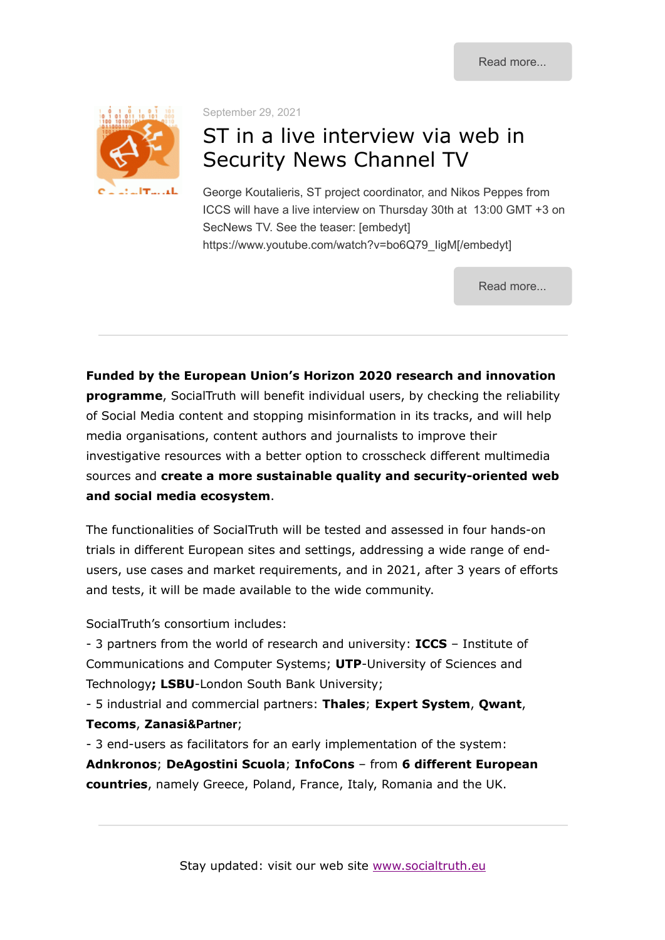

September 29, 2021

### ST in a live interview via web in Security News Channel TV

George Koutalieris, ST project coordinator, and Nikos Peppes from ICCS will have a live interview on Thursday 30th at 13:00 GMT +3 on SecNews TV. See the teaser: [embedyt] https://www.youtube.com/watch?v=bo6Q79\_IigM[/embedyt]

[Read more...](http://www.socialtruth.eu/index.php/2021/09/29/st-coordinator-in-a-live-interview-via-a-web-security-news-channel/)

**Funded by the European Union's Horizon 2020 research and innovation programme**, SocialTruth will benefit individual users, by checking the reliability of Social Media content and stopping misinformation in its tracks, and will help media organisations, content authors and journalists to improve their investigative resources with a better option to crosscheck different multimedia sources and **create a more sustainable quality and security-oriented web and social media ecosystem**.

The functionalities of SocialTruth will be tested and assessed in four hands-on trials in different European sites and settings, addressing a wide range of endusers, use cases and market requirements, and in 2021, after 3 years of efforts and tests, it will be made available to the wide community.

SocialTruth's consortium includes:

- 3 partners from the world of research and university: **ICCS** – Institute of Communications and Computer Systems; **UTP**-University of Sciences and Technology**; LSBU**-London South Bank University;

- 5 industrial and commercial partners: **Thales**; **Expert System**, **Qwant**, **Tecoms**, **Zanasi&Partner**;

- 3 end-users as facilitators for an early implementation of the system:

**Adnkronos**; **DeAgostini Scuola**; **InfoCons** – from **6 different European countries**, namely Greece, Poland, France, Italy, Romania and the UK.